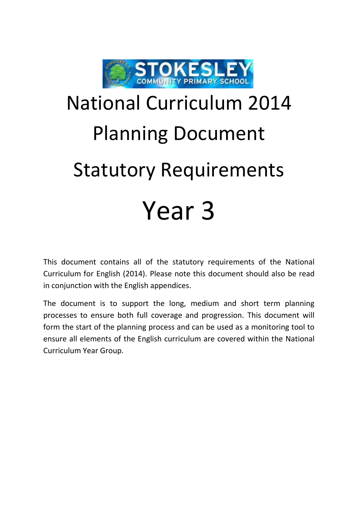

## National Curriculum 2014 Planning Document Statutory Requirements Year 3

This document contains all of the statutory requirements of the National Curriculum for English (2014). Please note this document should also be read in conjunction with the English appendices.

The document is to support the long, medium and short term planning processes to ensure both full coverage and progression. This document will form the start of the planning process and can be used as a monitoring tool to ensure all elements of the English curriculum are covered within the National Curriculum Year Group.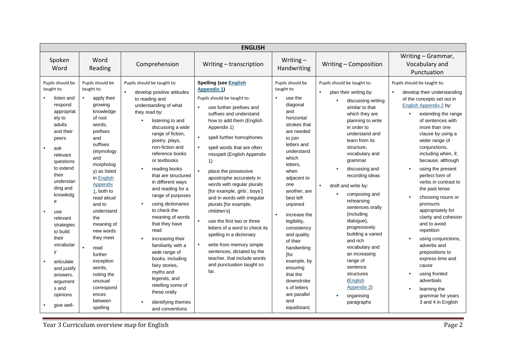| <b>ENGLISH</b>                                                                                                                                                                                                                                                                                                                                                                        |                                                                                                                                                                                                                                                                                                                                                                                                                              |                                                                                                                                                                                                                                                                                                                                                                                                                                                                                                                                                                                                                                                                              |                                                                                                                                                                                                                                                                                                                                                                                                                                                                                                                                                                                                                                                                                                           |                                                                                                                                                                                                                                                                                                                                                                                                                                                                    |                                                                                                                                                                                                                                                                                                                                                                                                                                                                                                                                                                             |                                                                                                                                                                                                                                                                                                                                                                                                                                                                                                                                                                                                                                                                         |  |
|---------------------------------------------------------------------------------------------------------------------------------------------------------------------------------------------------------------------------------------------------------------------------------------------------------------------------------------------------------------------------------------|------------------------------------------------------------------------------------------------------------------------------------------------------------------------------------------------------------------------------------------------------------------------------------------------------------------------------------------------------------------------------------------------------------------------------|------------------------------------------------------------------------------------------------------------------------------------------------------------------------------------------------------------------------------------------------------------------------------------------------------------------------------------------------------------------------------------------------------------------------------------------------------------------------------------------------------------------------------------------------------------------------------------------------------------------------------------------------------------------------------|-----------------------------------------------------------------------------------------------------------------------------------------------------------------------------------------------------------------------------------------------------------------------------------------------------------------------------------------------------------------------------------------------------------------------------------------------------------------------------------------------------------------------------------------------------------------------------------------------------------------------------------------------------------------------------------------------------------|--------------------------------------------------------------------------------------------------------------------------------------------------------------------------------------------------------------------------------------------------------------------------------------------------------------------------------------------------------------------------------------------------------------------------------------------------------------------|-----------------------------------------------------------------------------------------------------------------------------------------------------------------------------------------------------------------------------------------------------------------------------------------------------------------------------------------------------------------------------------------------------------------------------------------------------------------------------------------------------------------------------------------------------------------------------|-------------------------------------------------------------------------------------------------------------------------------------------------------------------------------------------------------------------------------------------------------------------------------------------------------------------------------------------------------------------------------------------------------------------------------------------------------------------------------------------------------------------------------------------------------------------------------------------------------------------------------------------------------------------------|--|
| Spoken<br>Word                                                                                                                                                                                                                                                                                                                                                                        | Word<br>Reading                                                                                                                                                                                                                                                                                                                                                                                                              | Comprehension                                                                                                                                                                                                                                                                                                                                                                                                                                                                                                                                                                                                                                                                | Writing - transcription                                                                                                                                                                                                                                                                                                                                                                                                                                                                                                                                                                                                                                                                                   | Writing $-$<br>Handwriting                                                                                                                                                                                                                                                                                                                                                                                                                                         | Writing - Composition                                                                                                                                                                                                                                                                                                                                                                                                                                                                                                                                                       | Writing - Grammar,<br>Vocabulary and<br>Punctuation                                                                                                                                                                                                                                                                                                                                                                                                                                                                                                                                                                                                                     |  |
| Pupils should be<br>taught to:<br>listen and<br>respond<br>appropriat<br>ely to<br>adults<br>and their<br>peers<br>ask<br>a.<br>relevant<br>questions<br>to extend<br>their<br>understan<br>ding and<br>knowledg<br>e<br>use<br>relevant<br>strategies<br>to build<br>their<br>vocabular<br>y<br>articulate<br>and justify<br>answers,<br>argument<br>s and<br>opinions<br>give well- | Pupils should be<br>taught to:<br>apply their<br>growing<br>knowledge<br>of root<br>words,<br>prefixes<br>and<br>suffixes<br>(etymology<br>and<br>morpholog<br>y) as listed<br>in English<br>Appendix<br>$1$ , both to<br>read aloud<br>and to<br>understand<br>the<br>meaning of<br>new words<br>they meet<br>read<br>further<br>exception<br>words,<br>noting the<br>unusual<br>correspond<br>ences<br>between<br>spelling | Pupils should be taught to:<br>×<br>develop positive attitudes<br>to reading and<br>understanding of what<br>they read by:<br>listening to and<br>٠<br>discussing a wide<br>range of fiction,<br>poetry, plays,<br>non-fiction and<br>reference books<br>or textbooks<br>reading books<br>that are structured<br>in different ways<br>and reading for a<br>range of purposes<br>using dictionaries<br>to check the<br>meaning of words<br>that they have<br>read<br>increasing their<br>familiarity with a<br>wide range of<br>books, including<br>fairy stories,<br>myths and<br>legends, and<br>retelling some of<br>these orally<br>identifying themes<br>and conventions | <b>Spelling (see English</b><br><b>Appendix 1)</b><br>Pupils should be taught to:<br>use further prefixes and<br>suffixes and understand<br>how to add them (English<br>Appendix 1)<br>spell further homophones<br>spell words that are often<br>misspelt (English Appendix<br>1)<br>place the possessive<br>apostrophe accurately in<br>words with regular plurals<br>[for example, girls', boys']<br>and in words with irregular<br>plurals [for example,<br>children's]<br>use the first two or three<br>letters of a word to check its<br>spelling in a dictionary<br>write from memory simple<br>٠<br>sentences, dictated by the<br>teacher, that include words<br>and punctuation taught so<br>far. | Pupils should be<br>taught to:<br>٠<br>use the<br>diagonal<br>and<br>horizontal<br>strokes that<br>are needed<br>to join<br>letters and<br>understand<br>which<br>letters,<br>when<br>adjacent to<br>one<br>another, are<br>best left<br>unjoined<br>increase the<br>٠<br>legibility,<br>consistency<br>and quality<br>of their<br>handwriting<br>[for<br>example, by<br>ensuring<br>that the<br>downstroke<br>s of letters<br>are parallel<br>and<br>equidistant; | Pupils should be taught to:<br>×.<br>plan their writing by:<br>discussing writing<br>similar to that<br>which they are<br>planning to write<br>in order to<br>understand and<br>learn from its<br>structure,<br>vocabulary and<br>grammar<br>discussing and<br>recording ideas<br>draft and write by:<br>٠<br>composing and<br>rehearsing<br>sentences orally<br>(including<br>dialogue),<br>progressively<br>building a varied<br>and rich<br>vocabulary and<br>an increasing<br>range of<br>sentence<br>structures<br>(English<br>Appendix 2)<br>organising<br>paragraphs | Pupils should be taught to:<br>develop their understanding<br>of the concepts set out in<br>English Appendix 2 by:<br>extending the range<br>a.<br>of sentences with<br>more than one<br>clause by using a<br>wider range of<br>conjunctions,<br>including when, if,<br>because, although<br>using the present<br>perfect form of<br>verbs in contrast to<br>the past tense<br>choosing nouns or<br>pronouns<br>appropriately for<br>clarity and cohesion<br>and to avoid<br>repetition<br>using conjunctions,<br>adverbs and<br>prepositions to<br>express time and<br>cause<br>using fronted<br>adverbials<br>learning the<br>grammar for years<br>3 and 4 in English |  |

**The Vermit Controllum overview map for English Page 2** Page 2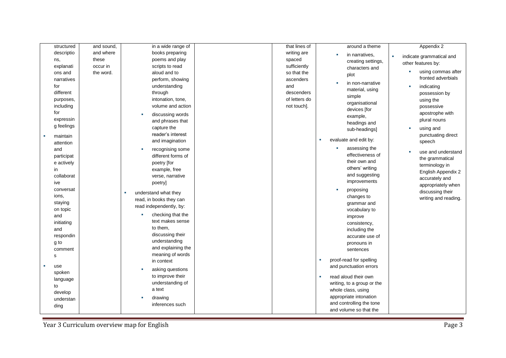| structured     | and sound, | in a wide range of        | that lines of | around a theme             | Appendix 2                               |
|----------------|------------|---------------------------|---------------|----------------------------|------------------------------------------|
| descriptio     | and where  | books preparing           | writing are   | in narratives.             | indicate grammatical and<br>×            |
| ns,            | these      | poems and play            | spaced        | creating settings,         | other features by:                       |
| explanati      | occur in   | scripts to read           | sufficiently  | characters and             |                                          |
| ons and        | the word.  | aloud and to              | so that the   | plot                       | using commas after                       |
| narratives     |            | perform, showing          | ascenders     | in non-narrative           | fronted adverbials                       |
| for            |            | understanding             | and           |                            | indicating                               |
| different      |            | through                   | descenders    | material, using<br>simple  | possession by                            |
| purposes,      |            | intonation, tone,         | of letters do | organisational             | using the                                |
| including      |            | volume and action         | not touch].   | devices [for               | possessive                               |
| for            |            | discussing words          |               | example,                   | apostrophe with                          |
| expressin      |            | and phrases that          |               | headings and               | plural nouns                             |
| g feelings     |            | capture the               |               | sub-headings]              | using and                                |
| maintain       |            | reader's interest         |               |                            | punctuating direct                       |
| attention      |            | and imagination           |               | evaluate and edit by:      | speech                                   |
| and            |            | recognising some          |               | assessing the<br><b>CO</b> |                                          |
| participat     |            | different forms of        |               | effectiveness of           | use and understand                       |
| e actively     |            | poetry [for               |               | their own and              | the grammatical                          |
| in             |            | example, free             |               | others' writing            | terminology in                           |
| collaborat     |            | verse, narrative          |               | and suggesting             | English Appendix 2                       |
| ive            |            | poetry]                   |               | improvements               | accurately and                           |
| conversat      |            |                           |               | proposing<br>×.            | appropriately when                       |
| ions,          |            | understand what they<br>× |               | changes to                 | discussing their<br>writing and reading. |
| staying        |            | read, in books they can   |               | grammar and                |                                          |
| on topic       |            | read independently, by:   |               | vocabulary to              |                                          |
| and            |            | checking that the         |               | improve                    |                                          |
| initiating     |            | text makes sense          |               | consistency,               |                                          |
| and            |            | to them,                  |               | including the              |                                          |
| respondin      |            | discussing their          |               | accurate use of            |                                          |
| g to           |            | understanding             |               | pronouns in                |                                          |
| comment        |            | and explaining the        |               | sentences                  |                                          |
| $\mathbf s$    |            | meaning of words          |               |                            |                                          |
|                |            | in context                |               | proof-read for spelling    |                                          |
| use            |            | asking questions          |               | and punctuation errors     |                                          |
| spoken         |            | to improve their          |               | read aloud their own       |                                          |
| language<br>to |            | understanding of          |               | writing, to a group or the |                                          |
| develop        |            | a text                    |               | whole class, using         |                                          |
| understan      |            | drawing                   |               | appropriate intonation     |                                          |
| ding           |            | inferences such           |               | and controlling the tone   |                                          |
|                |            |                           |               | and volume so that the     |                                          |

Year 3 Curriculum overview map for English Page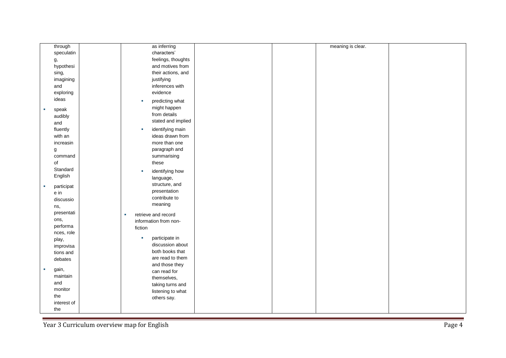| through         | as inferring             | meaning is clear. |
|-----------------|--------------------------|-------------------|
| speculatin      | characters'              |                   |
| g,              | feelings, thoughts       |                   |
| hypothesi       | and motives from         |                   |
| sing,           | their actions, and       |                   |
| imagining       | justifying               |                   |
| and             | inferences with          |                   |
| exploring       | evidence                 |                   |
| ideas           | predicting what<br>×     |                   |
|                 | might happen             |                   |
| speak<br>Ì.     | from details             |                   |
| audibly         | stated and implied       |                   |
| and             |                          |                   |
| fluently        | identifying main<br>٠    |                   |
| with an         | ideas drawn from         |                   |
| increasin       | more than one            |                   |
| g               | paragraph and            |                   |
| command         | summarising              |                   |
| of              | these                    |                   |
| Standard        | identifying how<br>×     |                   |
| English         | language,                |                   |
| participat<br>× | structure, and           |                   |
| e in            | presentation             |                   |
| discussio       | contribute to            |                   |
| ns,             | meaning                  |                   |
| presentati      | retrieve and record<br>× |                   |
| ons,            | information from non-    |                   |
| performa        | fiction                  |                   |
| nces, role      |                          |                   |
| play,           | participate in<br>×      |                   |
| improvisa       | discussion about         |                   |
| tions and       | both books that          |                   |
| debates         | are read to them         |                   |
| gain,<br>×      | and those they           |                   |
| maintain        | can read for             |                   |
| and             | themselves,              |                   |
| monitor         | taking turns and         |                   |
| the             | listening to what        |                   |
| interest of     | others say.              |                   |
| the             |                          |                   |
|                 |                          |                   |